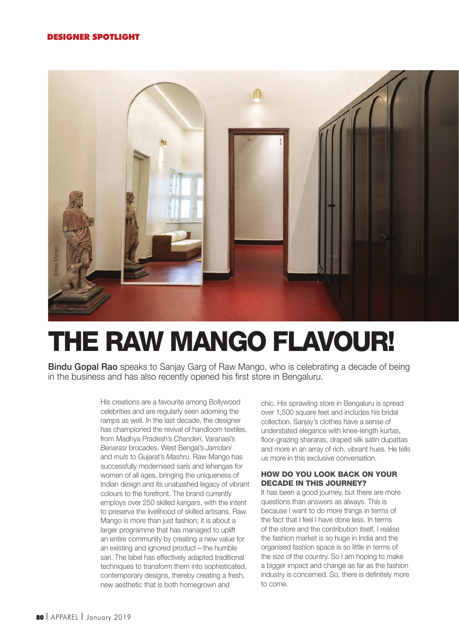

# THE RAW MANGO FLAVOUR!

Bindu Gopal Rao speaks to Sanjay Garg of Raw Mango, who is celebrating a decade of being in the business and has also recently opened his first store in Bengaluru.

> His creations are a favourite among Bollywood celebrities and are regularly seen adorning the ramps as well. In the last decade, the designer has championed the revival of handloom textiles, from Madhya Pradesh's Chanderi, Varanasi's Benarasi brocades, West Bengal's Jamdani and muls to Gujarat's Mashru. Raw Mango has successfully modernised saris and lehengas for women of all ages, bringing the uniqueness of Indian design and its unabashed legacy of vibrant colours to the forefront. The brand currently employs over 250 skilled karigars, with the intent to preserve the livelihood of skilled artisans. Raw Mango is more than just fashion; it is about a larger programme that has managed to uplift an entire community by creating a new value for an existing and ignored product—the humble sari. The label has effectively adapted traditional techniques to transform them into sophisticated, contemporary designs, thereby creating a fresh, new aesthetic that is both homegrown and

chic. His sprawling store in Bengaluru is spread over 1,500 square feet and includes his bridal collection. Sanjay's clothes have a sense of understated elegance with knee-length kurtas, floor-grazing shararas, draped silk satin dupattas and more in an array of rich, vibrant hues. He tells us more in this exclusive conversation.

# HOW DO YOU LOOK BACK ON YOUR DECADE IN THIS JOURNEY?

It has been a good journey, but there are more questions than answers as always. This is because I want to do more things in terms of the fact that I feel I have done less. In terms of the store and the contribution itself, I realise the fashion market is so huge in India and the organised fashion space is so little in terms of the size of the country. So I am hoping to make a bigger impact and change as far as the fashion industry is concerned. So, there is definitely more to come.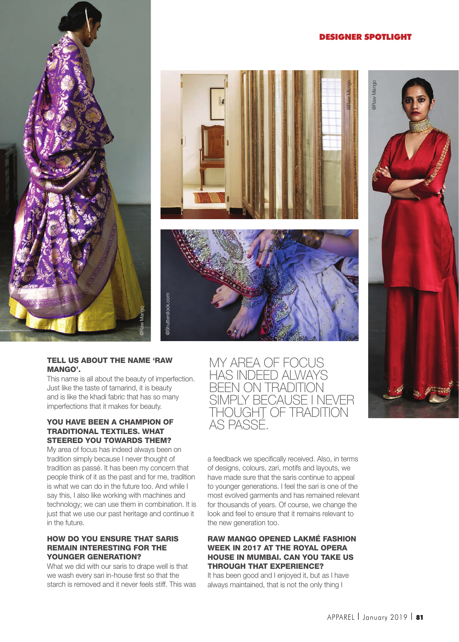# DESIGNER SPOTLIGHT







#### TELL US ABOUT THE NAME 'RAW MANGO'.

This name is all about the beauty of imperfection. Just like the taste of tamarind, it is beauty and is like the khadi fabric that has so many imperfections that it makes for beauty.

#### YOU HAVE BEEN A CHAMPION OF TRADITIONAL TEXTILES. WHAT STEERED YOU TOWARDS THEM?

My area of focus has indeed always been on tradition simply because I never thought of tradition as passé. It has been my concern that people think of it as the past and for me, tradition is what we can do in the future too. And while I say this, I also like working with machines and technology; we can use them in combination. It is just that we use our past heritage and continue it in the future.

# HOW DO YOU ENSURE THAT SARIS REMAIN INTERESTING FOR THE YOUNGER GENERATION?

What we did with our saris to drape well is that we wash every sari in-house first so that the starch is removed and it never feels stiff. This was MY AREA OF FOCUS HAS INDEED ALWAYS BEEN ON TRADITION SIMPLY BECAUSE I NEVER THOUGHT OF TRADITION AS PASSÉ.

a feedback we specifically received. Also, in terms of designs, colours, zari, motifs and layouts, we have made sure that the saris continue to appeal to younger generations. I feel the sari is one of the most evolved garments and has remained relevant for thousands of years. Of course, we change the look and feel to ensure that it remains relevant to the new generation too.

#### RAW MANGO OPENED LAKMÉ FASHION WEEK IN 2017 AT THE ROYAL OPERA HOUSE IN MUMBAI. CAN YOU TAKE US THROUGH THAT EXPERIENCE?

It has been good and I enjoyed it, but as I have always maintained, that is not the only thing I

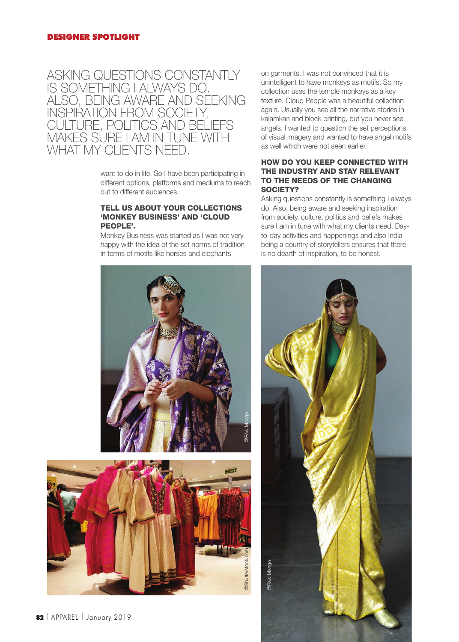# ASKING QUESTIONS CONSTANTLY IS SOMETHING I ALWAYS DO. ALSO, BEING AWARE AND SEEKING INSPIRATION FROM SOCIETY, CULTURE, POLITICS AND BELIEFS MAKES SURE I AM IN TUNE WITH WHAT MY CLIENTS NEED.

want to do in life. So I have been participating in different options, platforms and mediums to reach out to different audiences.

#### TELL US ABOUT YOUR COLLECTIONS 'MONKEY BUSINESS' AND 'CLOUD PEOPLE'.

Monkey Business was started as I was not very happy with the idea of the set norms of tradition in terms of motifs like horses and elephants





on garments. I was not convinced that it is unintelligent to have monkeys as motifs. So my collection uses the temple monkeys as a key texture. Cloud People was a beautiful collection again. Usually you see all the narrative stories in kalamkari and block printing, but you never see angels. I wanted to question the set perceptions of visual imagery and wanted to have angel motifs as well which were not seen earlier.

#### HOW DO YOU KEEP CONNECTED WITH THE INDUSTRY AND STAY RELEVANT TO THE NEEDS OF THE CHANGING SOCIETY?

Asking questions constantly is something I always do. Also, being aware and seeking inspiration from society, culture, politics and beliefs makes sure I am in tune with what my clients need. Dayto-day activities and happenings and also India being a country of storytellers ensures that there is no dearth of inspiration, to be honest.